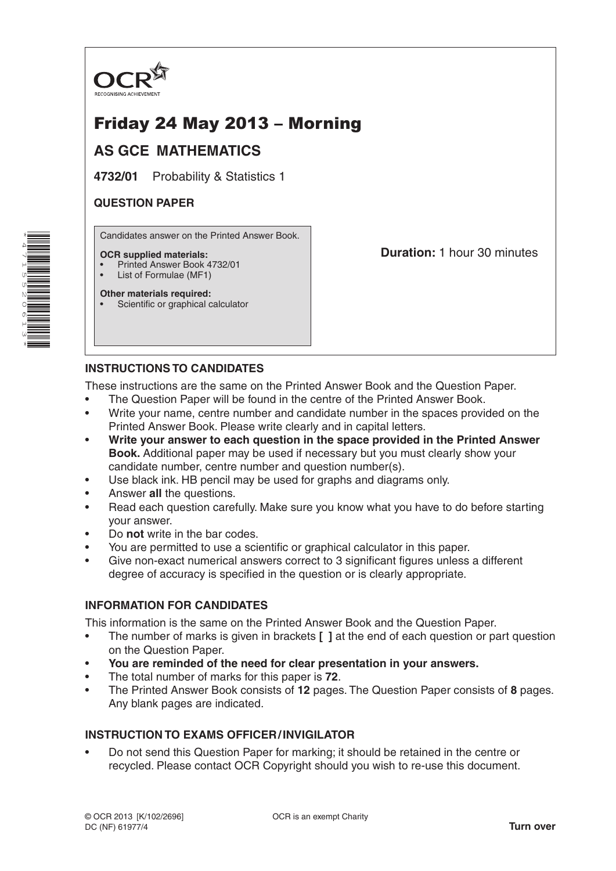

# Friday 24 May 2013 – Morning

## **AS GCE MATHEMATICS**

**4732/01** Probability & Statistics 1

#### **QUESTION PAPER**

Candidates answer on the Printed Answer Book.

#### **OCR supplied materials:**

- Printed Answer Book 4732/01
- List of Formulae (MF1)

**Duration:** 1 hour 30 minutes

## **Other materials required:**

Scientific or graphical calculator

### **INSTRUCTIONS TO CANDIDATES**

These instructions are the same on the Printed Answer Book and the Question Paper.

- The Question Paper will be found in the centre of the Printed Answer Book.
- Write your name, centre number and candidate number in the spaces provided on the Printed Answer Book. Please write clearly and in capital letters.
- **Write your answer to each question in the space provided in the Printed Answer Book.** Additional paper may be used if necessary but you must clearly show your candidate number, centre number and question number(s).
- Use black ink. HB pencil may be used for graphs and diagrams only.
- Answer **all** the questions.
- Read each question carefully. Make sure you know what you have to do before starting your answer.
- Do **not** write in the bar codes.
- You are permitted to use a scientific or graphical calculator in this paper.
- Give non-exact numerical answers correct to 3 significant figures unless a different degree of accuracy is specified in the question or is clearly appropriate.

#### **INFORMATION FOR CANDIDATES**

This information is the same on the Printed Answer Book and the Question Paper.

- The number of marks is given in brackets **[ ]** at the end of each question or part question on the Question Paper.
- **You are reminded of the need for clear presentation in your answers.**
- The total number of marks for this paper is **72**.
- The Printed Answer Book consists of **12** pages. The Question Paper consists of **8** pages. Any blank pages are indicated.

#### **INSTRUCTION TO EXAMS OFFICER/INVIGILATOR**

• Do not send this Question Paper for marking; it should be retained in the centre or recycled. Please contact OCR Copyright should you wish to re-use this document.

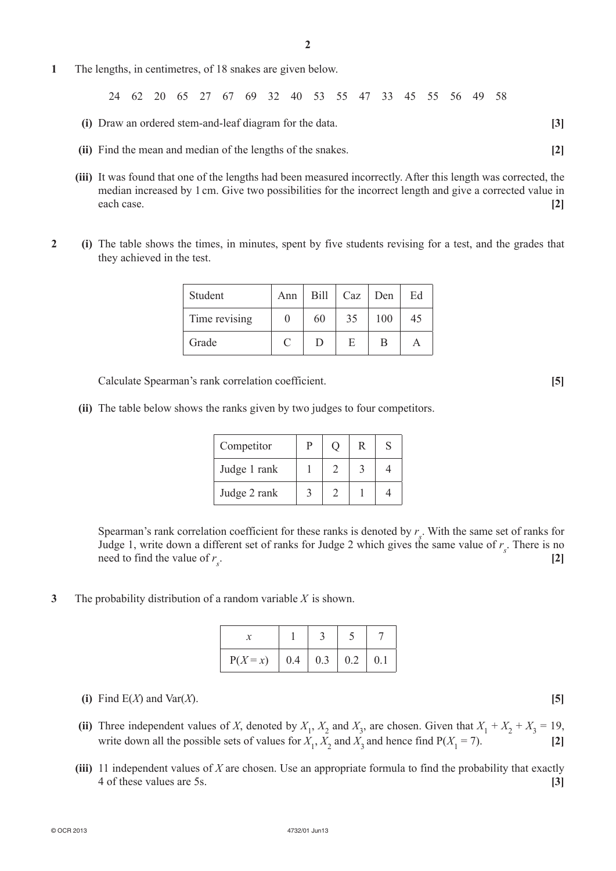- **1**  The lengths, in centimetres, of 18 snakes are given below.
	- 24 62 20 65 27 67 69 32 40 53 55 47 33 45 55 56 49 58
	- **(i)** Draw an ordered stem-and-leaf diagram for the data. **[3]**
	- **(ii)** Find the mean and median of the lengths of the snakes. **[2]**
	- **(iii)** It was found that one of the lengths had been measured incorrectly. After this length was corrected, the median increased by 1 cm. Give two possibilities for the incorrect length and give a corrected value in each case. **[2]**
- **2** (i) The table shows the times, in minutes, spent by five students revising for a test, and the grades that they achieved in the test.

| Student       | Ann       | <b>Bill</b> | Caz | Den | Ed |
|---------------|-----------|-------------|-----|-----|----|
| Time revising | 0         | 60          | 35  | 100 | 45 |
| Grade         | $\subset$ | D           | E   | В   | A  |

Calculate Spearman's rank correlation coefficient. **[5]** 

**(ii)** The table below shows the ranks given by two judges to four competitors.

| Competitor   | р | $\left( \right)$ | R |  |
|--------------|---|------------------|---|--|
| Judge 1 rank |   |                  |   |  |
| Judge 2 rank |   |                  |   |  |

Spearman's rank correlation coefficient for these ranks is denoted by  $r_s$ . With the same set of ranks for Judge 1, write down a different set of ranks for Judge 2 which gives the same value of *r s* . There is no need to find the value of *r s* . **[2]**

**3**  The probability distribution of a random variable *X* is shown.

| $P(X=x)$   0.4   0.3   0.2   0.1 |  |  |
|----------------------------------|--|--|

**(i)** Find E(*X*) and Var(*X*). **[5]** 

- (ii) Three independent values of *X*, denoted by  $X_1$ ,  $X_2$  and  $X_3$ , are chosen. Given that  $X_1 + X_2 + X_3 = 19$ , write down all the possible sets of values for  $X_1$ ,  $X_2$  and  $X_3$  and hence find  $P(X_1 = 7)$ . [2]
	- **(iii)** 11 independent values of *X* are chosen. Use an appropriate formula to find the probability that exactly 4 of these values are 5s. **[3]**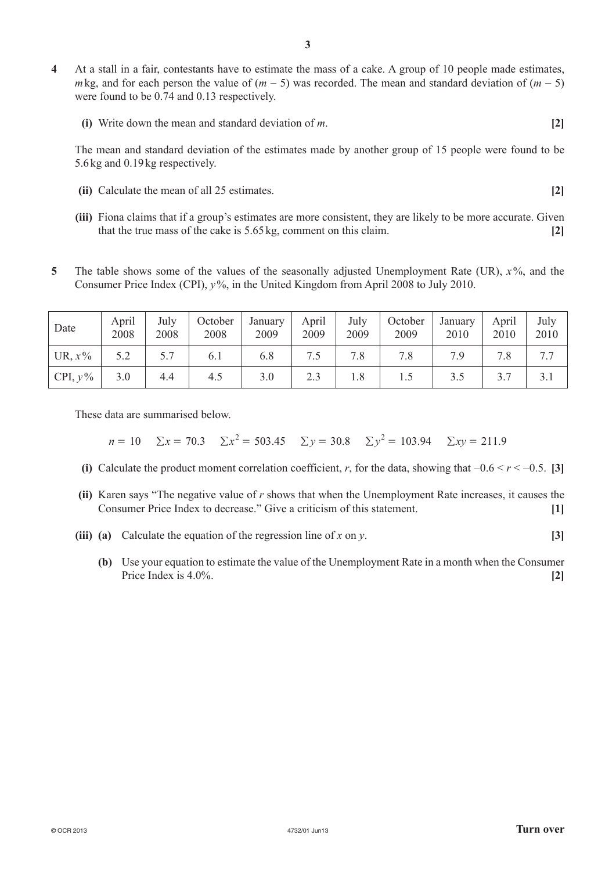- **4**  At a stall in a fair, contestants have to estimate the mass of a cake. A group of 10 people made estimates, *m*kg, and for each person the value of (*m* − 5) was recorded. The mean and standard deviation of (*m* − 5) were found to be 0.74 and 0.13 respectively.
	- **(i)** Write down the mean and standard deviation of  $m$ . **[2]**

The mean and standard deviation of the estimates made by another group of 15 people were found to be 5.6kg and 0.19kg respectively.

- **(ii)** Calculate the mean of all 25 estimates. **[2]**
- **(iii)** Fiona claims that if a group's estimates are more consistent, they are likely to be more accurate. Given that the true mass of the cake is 5.65kg, comment on this claim. **[2]**
- **5**  The table shows some of the values of the seasonally adjusted Unemployment Rate (UR), *x*%, and the Consumer Price Index (CPI), *y*%, in the United Kingdom from April 2008 to July 2010.

| Date                          | April<br>2008 | July<br>2008 | October<br>2008 | January<br>2009 | April<br>2009 | July<br>2009 | October<br>2009 | January<br>2010 | April<br>2010 | July<br>2010 |
|-------------------------------|---------------|--------------|-----------------|-----------------|---------------|--------------|-----------------|-----------------|---------------|--------------|
| $\vert$ UR, $x\%$             | ے .           | ، . ب        | 6.1             | 6.8             | 7.5           | 7.8          | 7.8             | 70              | 7.8           | , , ,        |
| $\mathbb{C}PI, \mathcal{V}\%$ | 3.0           | 4.4          | 4.5             | 3.0             | 2.3           |              |                 |                 | 27            | J.I          |

These data are summarised below.

$$
n = 10 \quad \Sigma x = 70.3 \quad \Sigma x^2 = 503.45 \quad \Sigma y = 30.8 \quad \Sigma y^2 = 103.94 \quad \Sigma xy = 211.9
$$

- **(i)** Calculate the product moment correlation coefficient, *r*, for the data, showing that  $-0.6 \le r \le -0.5$ . [3]
- **(ii)** Karen says "The negative value of *r* shows that when the Unemployment Rate increases, it causes the Consumer Price Index to decrease." Give a criticism of this statement. **[1]**
- **(iii)** (a) Calculate the equation of the regression line of *x* on *y*. [3]
	- **(b)** Use your equation to estimate the value of the Unemployment Rate in a month when the Consumer Price Index is 4.0%. **[2]**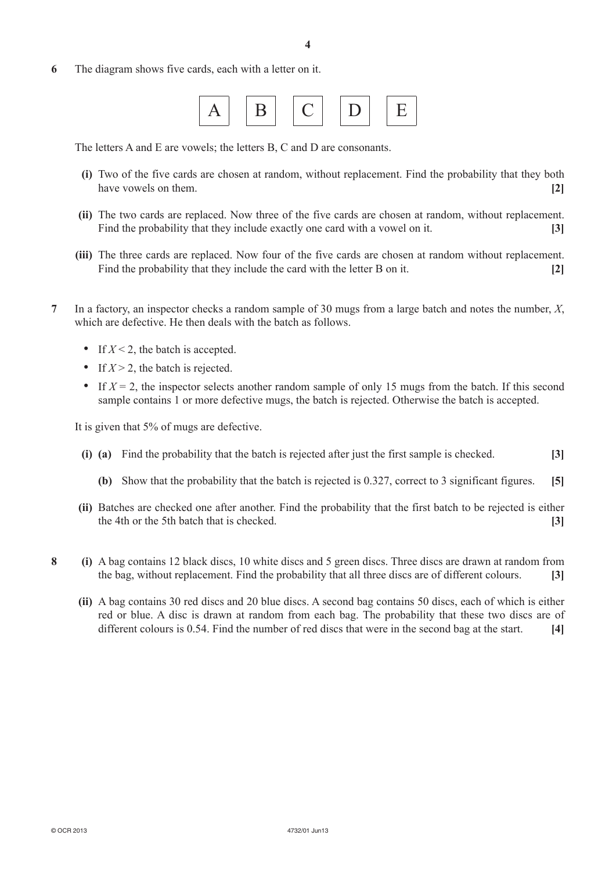**6**  The diagram shows five cards, each with a letter on it.



The letters A and E are vowels; the letters B, C and D are consonants.

- **(i)** Two of the five cards are chosen at random, without replacement. Find the probability that they both have vowels on them. **[2] [2]**
- **(ii)** The two cards are replaced. Now three of the five cards are chosen at random, without replacement. Find the probability that they include exactly one card with a vowel on it. **[3]**
- **(iii)** The three cards are replaced. Now four of the five cards are chosen at random without replacement. Find the probability that they include the card with the letter B on it. **[2]**
- **7**  In a factory, an inspector checks a random sample of 30 mugs from a large batch and notes the number, *X*, which are defective. He then deals with the batch as follows.
	- If  $X < 2$ , the batch is accepted.
	- If  $X > 2$ , the batch is rejected.
	- If  $X = 2$ , the inspector selects another random sample of only 15 mugs from the batch. If this second sample contains 1 or more defective mugs, the batch is rejected. Otherwise the batch is accepted.

It is given that 5% of mugs are defective.

- **(i)** (a) Find the probability that the batch is rejected after just the first sample is checked. **[3]** 
	- **(b)** Show that the probability that the batch is rejected is 0.327, correct to 3 significant figures. **[5]**
- **(ii)** Batches are checked one after another. Find the probability that the first batch to be rejected is either the 4th or the 5th batch that is checked. **[3]**
- **8** (i) A bag contains 12 black discs, 10 white discs and 5 green discs. Three discs are drawn at random from the bag, without replacement. Find the probability that all three discs are of different colours. **[3]**
	- **(ii)** A bag contains 30 red discs and 20 blue discs. A second bag contains 50 discs, each of which is either red or blue. A disc is drawn at random from each bag. The probability that these two discs are of different colours is 0.54. Find the number of red discs that were in the second bag at the start. **[4]**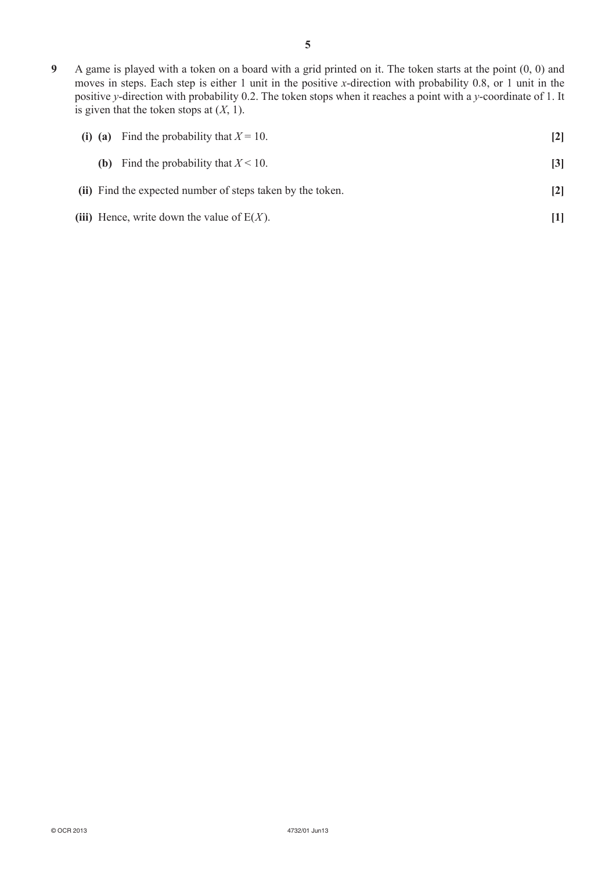**9**  A game is played with a token on a board with a grid printed on it. The token starts at the point (0, 0) and moves in steps. Each step is either 1 unit in the positive *x*-direction with probability 0.8, or 1 unit in the positive *y*-direction with probability 0.2. The token stops when it reaches a point with a *y*-coordinate of 1. It is given that the token stops at  $(X, 1)$ .

| (i) (a) Find the probability that $X = 10$ .               | $\mathbf{[2]}$    |
|------------------------------------------------------------|-------------------|
| (b) Find the probability that $X < 10$ .                   | $\lceil 3 \rceil$ |
| (ii) Find the expected number of steps taken by the token. |                   |

**(iii)** Hence, write down the value of  $E(X)$ . [1]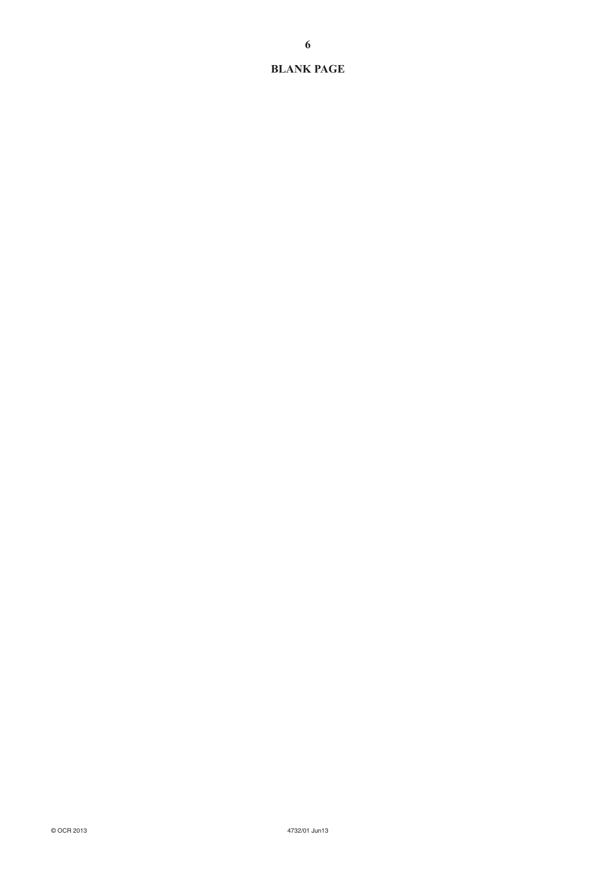#### **BLANK PAGE**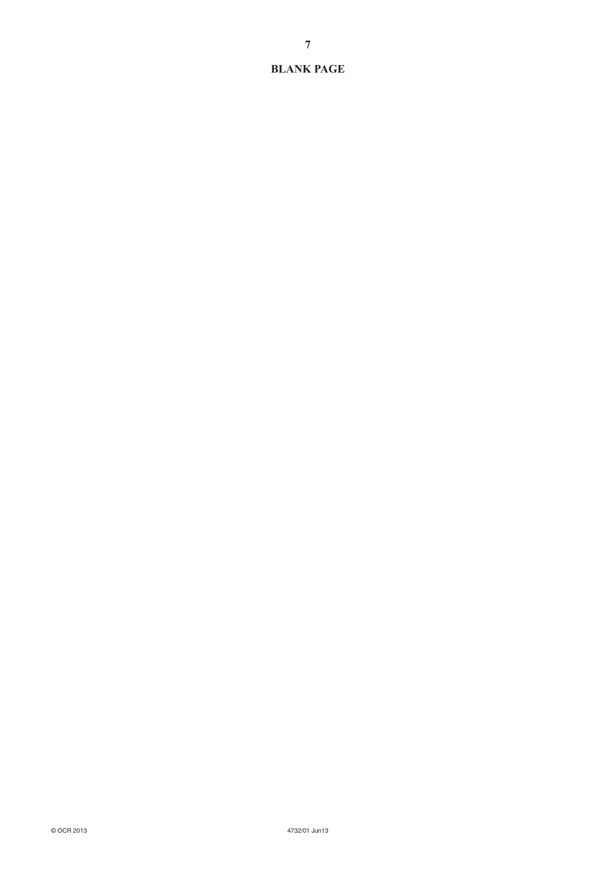#### **BLANK PAGE**